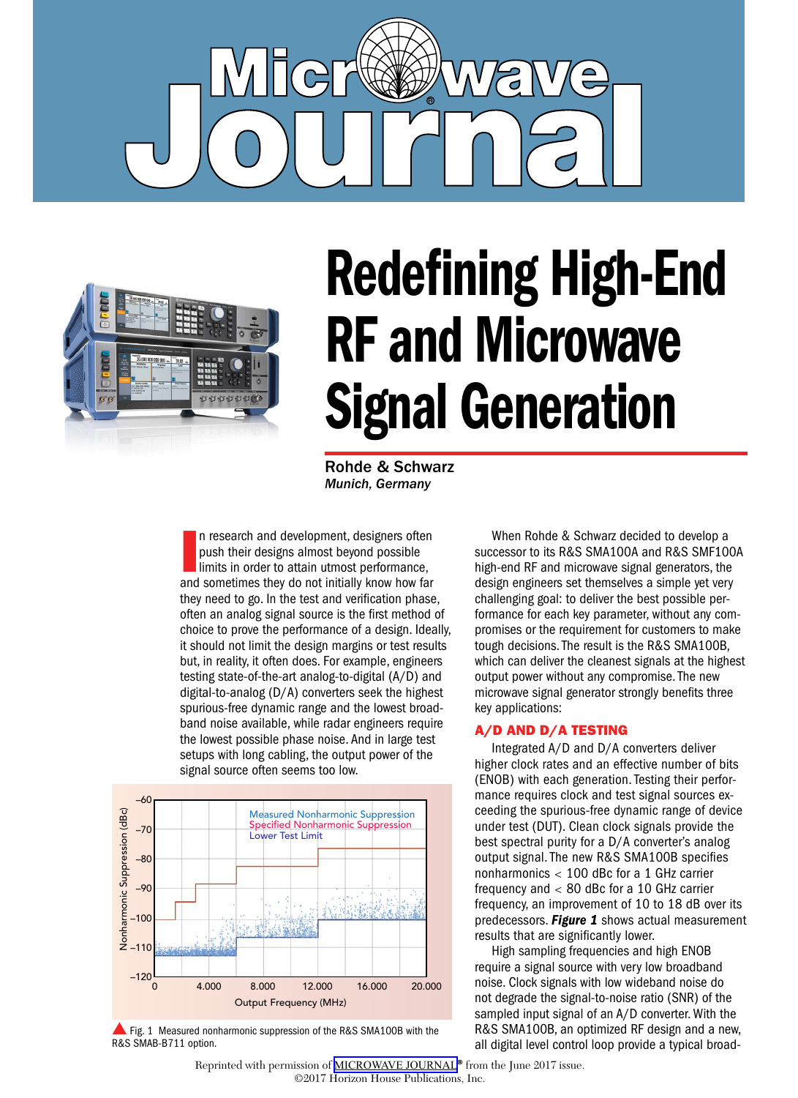



# Redefining High-End RF and Microwave Signal Generation

Rohde & Schwarz *Munich, Germany*

In research and development, designers often<br>push their designs almost beyond possible<br>limits in order to attain utmost performance,<br>and sometimes they do not initially know how far n research and development, designers often push their designs almost beyond possible limits in order to attain utmost performance, they need to go. In the test and verification phase, often an analog signal source is the first method of choice to prove the performance of a design. Ideally, it should not limit the design margins or test results but, in reality, it often does. For example, engineers testing state-of-the-art analog-to-digital (A/D) and digital-to-analog (D/A) converters seek the highest spurious-free dynamic range and the lowest broadband noise available, while radar engineers require the lowest possible phase noise. And in large test setups with long cabling, the output power of the signal source often seems too low.



 $\blacktriangle$  Fig. 1 Measured nonharmonic suppression of the R&S SMA100B with the R&S SMAB-B711 option.

When Rohde & Schwarz decided to develop a successor to its R&S SMA100A and R&S SMF100A high-end RF and microwave signal generators, the design engineers set themselves a simple yet very challenging goal: to deliver the best possible performance for each key parameter, without any compromises or the requirement for customers to make tough decisions. The result is the R&S SMA100B, which can deliver the cleanest signals at the highest output power without any compromise. The new microwave signal generator strongly benefits three key applications:

#### A/D AND D/A TESTING

Integrated A/D and D/A converters deliver higher clock rates and an effective number of bits (ENOB) with each generation. Testing their performance requires clock and test signal sources exceeding the spurious-free dynamic range of device under test (DUT). Clean clock signals provide the best spectral purity for a D/A converter's analog output signal. The new R&S SMA100B specifies nonharmonics < 100 dBc for a 1 GHz carrier frequency and < 80 dBc for a 10 GHz carrier frequency, an improvement of 10 to 18 dB over its predecessors. *Figure 1* shows actual measurement results that are significantly lower.

High sampling frequencies and high ENOB require a signal source with very low broadband noise. Clock signals with low wideband noise do not degrade the signal-to-noise ratio (SNR) of the sampled input signal of an A/D converter. With the R&S SMA100B, an optimized RF design and a new, all digital level control loop provide a typical broad-

Reprinted with permission of [MICROWAVE JOURNAL](http://mwjournal.com)**®** from the June 2017 issue. ©2017 Horizon House Publications, Inc.